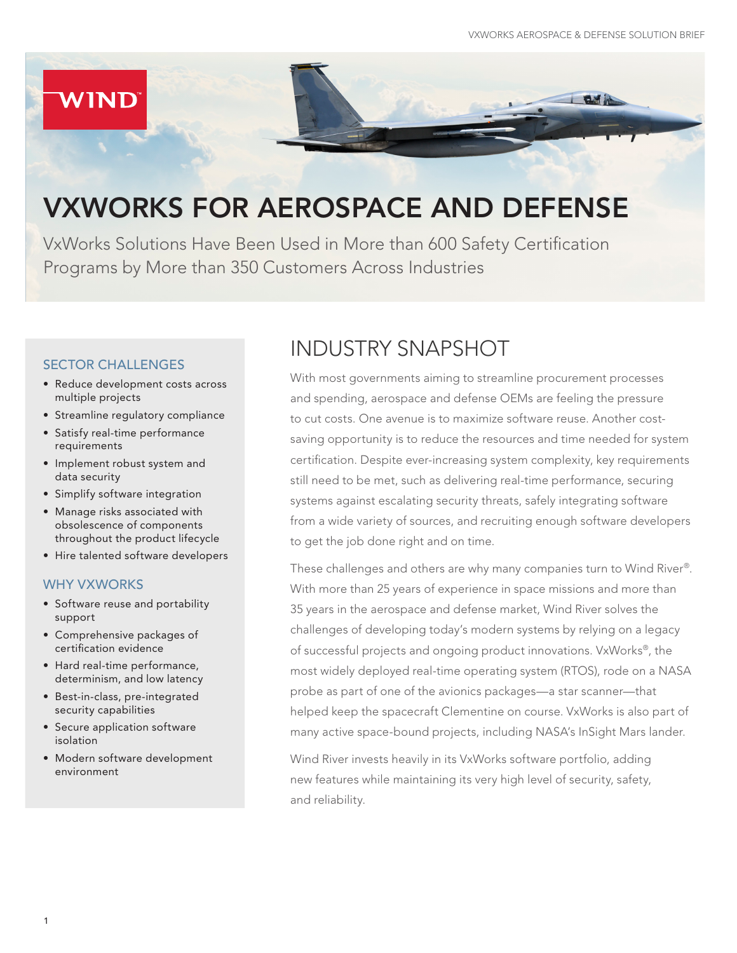

# VXWORKS FOR AEROSPACE AND DEFENSE

VxWorks Solutions Have Been Used in More than 600 Safety Certification Programs by More than 350 Customers Across Industries

#### SECTOR CHALLENGES

- Reduce development costs across multiple projects
- Streamline regulatory compliance
- Satisfy real-time performance requirements
- Implement robust system and data security
- Simplify software integration
- Manage risks associated with obsolescence of components throughout the product lifecycle
- Hire talented software developers

#### WHY VXWORKS

- Software reuse and portability support
- Comprehensive packages of certification evidence
- Hard real-time performance, determinism, and low latency
- Best-in-class, pre-integrated security capabilities
- Secure application software isolation
- Modern software development environment

### INDUSTRY SNAPSHOT

With most governments aiming to streamline procurement processes and spending, aerospace and defense OEMs are feeling the pressure to cut costs. One avenue is to maximize software reuse. Another costsaving opportunity is to reduce the resources and time needed for system certification. Despite ever-increasing system complexity, key requirements still need to be met, such as delivering real-time performance, securing systems against escalating security threats, safely integrating software from a wide variety of sources, and recruiting enough software developers to get the job done right and on time.

These challenges and others are why many companies turn to Wind River®. With more than 25 years of experience in space missions and more than 35 years in the aerospace and defense market, Wind River solves the challenges of developing today's modern systems by relying on a legacy of successful projects and ongoing product innovations. VxWorks®, the most widely deployed real-time operating system (RTOS), rode on a NASA probe as part of one of the avionics packages—a star scanner—that helped keep the spacecraft Clementine on course. VxWorks is also part of many active space-bound projects, including NASA's InSight Mars lander.

Wind River invests heavily in its VxWorks software portfolio, adding new features while maintaining its very high level of security, safety, and reliability.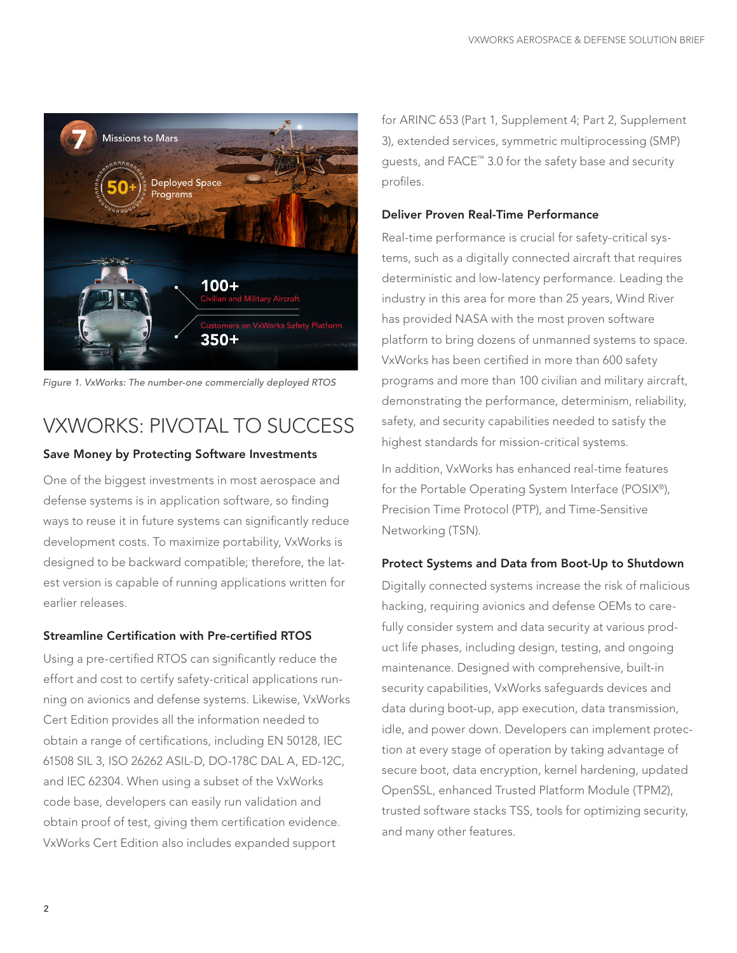

*Figure 1. VxWorks: The number-one commercially deployed RTOS* 

## VXWORKS: PIVOTAL TO SUCCESS

#### Save Money by Protecting Software Investments

One of the biggest investments in most aerospace and defense systems is in application software, so finding ways to reuse it in future systems can significantly reduce development costs. To maximize portability, VxWorks is designed to be backward compatible; therefore, the latest version is capable of running applications written for earlier releases.

#### Streamline Certification with Pre-certified RTOS

Using a pre-certified RTOS can significantly reduce the effort and cost to certify safety-critical applications running on avionics and defense systems. Likewise, VxWorks Cert Edition provides all the information needed to obtain a range of certifications, including EN 50128, IEC 61508 SIL 3, ISO 26262 ASIL-D, DO-178C DAL A, ED-12C, and IEC 62304. When using a subset of the VxWorks code base, developers can easily run validation and obtain proof of test, giving them certification evidence. VxWorks Cert Edition also includes expanded support

for ARINC 653 (Part 1, Supplement 4; Part 2, Supplement 3), extended services, symmetric multiprocessing (SMP) guests, and FACE™ 3.0 for the safety base and security profiles.

#### Deliver Proven Real-Time Performance

Real-time performance is crucial for safety-critical systems, such as a digitally connected aircraft that requires deterministic and low-latency performance. Leading the industry in this area for more than 25 years, Wind River has provided NASA with the most proven software platform to bring dozens of unmanned systems to space. VxWorks has been certified in more than 600 safety programs and more than 100 civilian and military aircraft, demonstrating the performance, determinism, reliability, safety, and security capabilities needed to satisfy the highest standards for mission-critical systems.

In addition, VxWorks has enhanced real-time features for the Portable Operating System Interface (POSIX®), Precision Time Protocol (PTP), and Time-Sensitive Networking (TSN).

#### Protect Systems and Data from Boot-Up to Shutdown

Digitally connected systems increase the risk of malicious hacking, requiring avionics and defense OEMs to carefully consider system and data security at various product life phases, including design, testing, and ongoing maintenance. Designed with comprehensive, built-in security capabilities, VxWorks safeguards devices and data during boot-up, app execution, data transmission, idle, and power down. Developers can implement protection at every stage of operation by taking advantage of secure boot, data encryption, kernel hardening, updated OpenSSL, enhanced Trusted Platform Module (TPM2), trusted software stacks TSS, tools for optimizing security, and many other features.